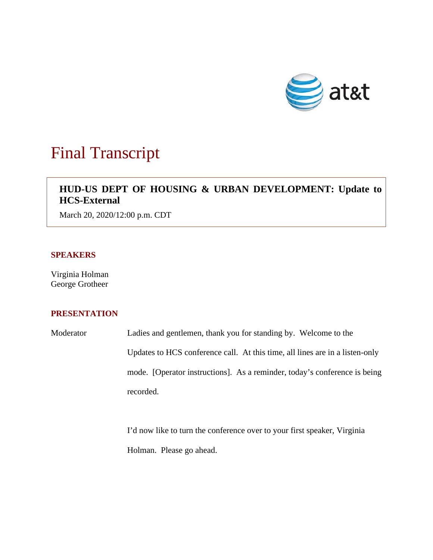

# Final Transcript

# $\overline{\phantom{a}}$ **HUD-US DEPT OF HOUSING & URBAN DEVELOPMENT: Update to HCS-External**

March 20, 2020/12:00 p.m. CDT

### **SPEAKERS**

Virginia Holman George Grotheer

## **PRESENTATION**

Moderator Ladies and gentlemen, thank you for standing by. Welcome to the Updates to HCS conference call. At this time, all lines are in a listen-only mode. [Operator instructions]. As a reminder, today's conference is being recorded.

> I'd now like to turn the conference over to your first speaker, Virginia Holman. Please go ahead.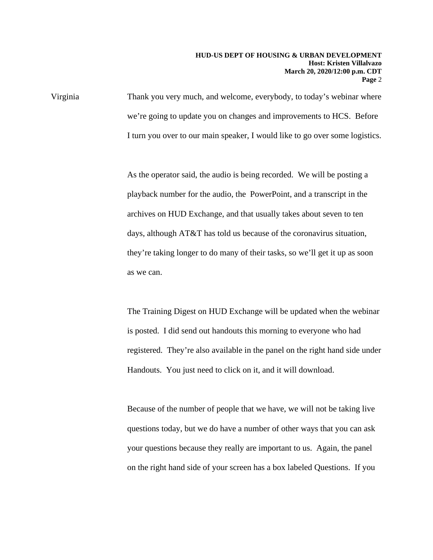Virginia Thank you very much, and welcome, everybody, to today's webinar where we're going to update you on changes and improvements to HCS. Before I turn you over to our main speaker, I would like to go over some logistics.

> As the operator said, the audio is being recorded. We will be posting a playback number for the audio, the PowerPoint, and a transcript in the archives on HUD Exchange, and that usually takes about seven to ten days, although AT&T has told us because of the coronavirus situation, they're taking longer to do many of their tasks, so we'll get it up as soon as we can.

The Training Digest on HUD Exchange will be updated when the webinar is posted. I did send out handouts this morning to everyone who had registered. They're also available in the panel on the right hand side under Handouts. You just need to click on it, and it will download.

Because of the number of people that we have, we will not be taking live questions today, but we do have a number of other ways that you can ask your questions because they really are important to us. Again, the panel on the right hand side of your screen has a box labeled Questions. If you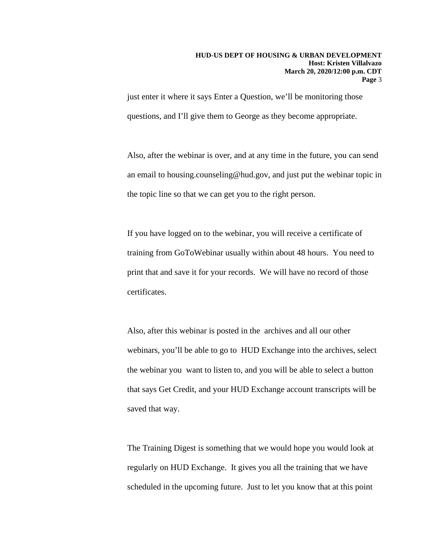just enter it where it says Enter a Question, we'll be monitoring those questions, and I'll give them to George as they become appropriate.

Also, after the webinar is over, and at any time in the future, you can send an email to housing.counseling@hud.gov, and just put the webinar topic in the topic line so that we can get you to the right person.

If you have logged on to the webinar, you will receive a certificate of training from GoToWebinar usually within about 48 hours. You need to print that and save it for your records. We will have no record of those certificates.

Also, after this webinar is posted in the archives and all our other webinars, you'll be able to go to HUD Exchange into the archives, select the webinar you want to listen to, and you will be able to select a button that says Get Credit, and your HUD Exchange account transcripts will be saved that way.

The Training Digest is something that we would hope you would look at regularly on HUD Exchange. It gives you all the training that we have scheduled in the upcoming future. Just to let you know that at this point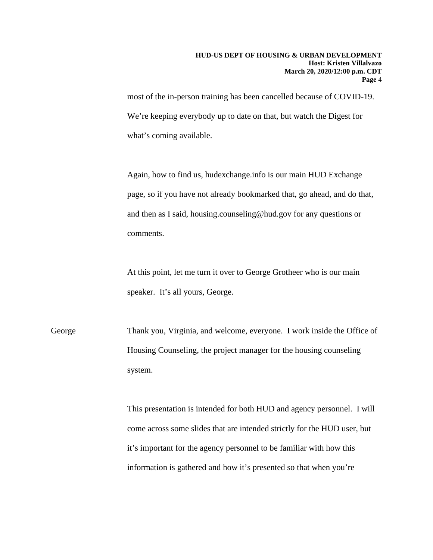most of the in-person training has been cancelled because of COVID-19. We're keeping everybody up to date on that, but watch the Digest for what's coming available.

Again, how to find us, hudexchange.info is our main HUD Exchange page, so if you have not already bookmarked that, go ahead, and do that, and then as I said, housing.counseling@hud.gov for any questions or comments.

At this point, let me turn it over to George Grotheer who is our main speaker. It's all yours, George.

George Thank you, Virginia, and welcome, everyone. I work inside the Office of Housing Counseling, the project manager for the housing counseling system.

> This presentation is intended for both HUD and agency personnel. I will come across some slides that are intended strictly for the HUD user, but it's important for the agency personnel to be familiar with how this information is gathered and how it's presented so that when you're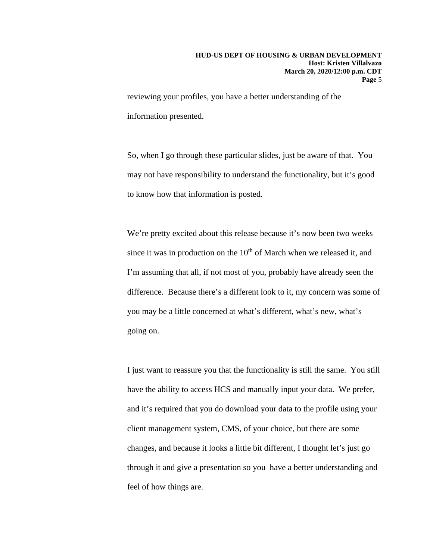reviewing your profiles, you have a better understanding of the information presented.

So, when I go through these particular slides, just be aware of that. You may not have responsibility to understand the functionality, but it's good to know how that information is posted.

We're pretty excited about this release because it's now been two weeks since it was in production on the  $10<sup>th</sup>$  of March when we released it, and I'm assuming that all, if not most of you, probably have already seen the difference. Because there's a different look to it, my concern was some of you may be a little concerned at what's different, what's new, what's going on.

I just want to reassure you that the functionality is still the same. You still have the ability to access HCS and manually input your data. We prefer, and it's required that you do download your data to the profile using your client management system, CMS, of your choice, but there are some changes, and because it looks a little bit different, I thought let's just go through it and give a presentation so you have a better understanding and feel of how things are.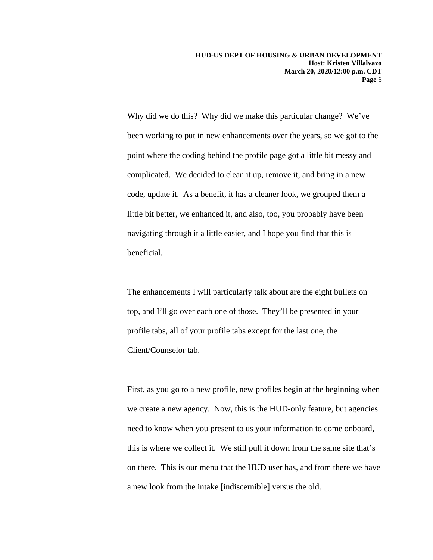Why did we do this? Why did we make this particular change? We've been working to put in new enhancements over the years, so we got to the point where the coding behind the profile page got a little bit messy and complicated. We decided to clean it up, remove it, and bring in a new code, update it. As a benefit, it has a cleaner look, we grouped them a little bit better, we enhanced it, and also, too, you probably have been navigating through it a little easier, and I hope you find that this is beneficial.

The enhancements I will particularly talk about are the eight bullets on top, and I'll go over each one of those. They'll be presented in your profile tabs, all of your profile tabs except for the last one, the Client/Counselor tab.

First, as you go to a new profile, new profiles begin at the beginning when we create a new agency. Now, this is the HUD-only feature, but agencies need to know when you present to us your information to come onboard, this is where we collect it. We still pull it down from the same site that's on there. This is our menu that the HUD user has, and from there we have a new look from the intake [indiscernible] versus the old.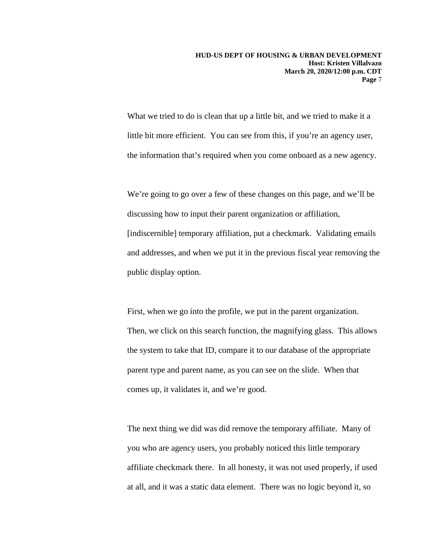What we tried to do is clean that up a little bit, and we tried to make it a little bit more efficient. You can see from this, if you're an agency user, the information that's required when you come onboard as a new agency.

We're going to go over a few of these changes on this page, and we'll be discussing how to input their parent organization or affiliation, [indiscernible] temporary affiliation, put a checkmark. Validating emails and addresses, and when we put it in the previous fiscal year removing the public display option.

First, when we go into the profile, we put in the parent organization. Then, we click on this search function, the magnifying glass. This allows the system to take that ID, compare it to our database of the appropriate parent type and parent name, as you can see on the slide. When that comes up, it validates it, and we're good.

The next thing we did was did remove the temporary affiliate. Many of you who are agency users, you probably noticed this little temporary affiliate checkmark there. In all honesty, it was not used properly, if used at all, and it was a static data element. There was no logic beyond it, so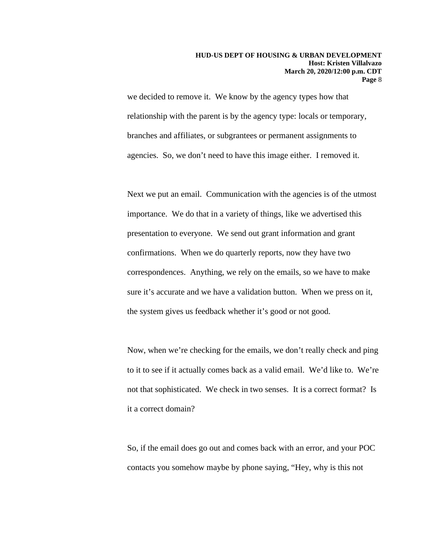we decided to remove it. We know by the agency types how that relationship with the parent is by the agency type: locals or temporary, branches and affiliates, or subgrantees or permanent assignments to agencies. So, we don't need to have this image either. I removed it.

Next we put an email. Communication with the agencies is of the utmost importance. We do that in a variety of things, like we advertised this presentation to everyone. We send out grant information and grant confirmations. When we do quarterly reports, now they have two correspondences. Anything, we rely on the emails, so we have to make sure it's accurate and we have a validation button. When we press on it, the system gives us feedback whether it's good or not good.

Now, when we're checking for the emails, we don't really check and ping to it to see if it actually comes back as a valid email. We'd like to. We're not that sophisticated. We check in two senses. It is a correct format? Is it a correct domain?

So, if the email does go out and comes back with an error, and your POC contacts you somehow maybe by phone saying, "Hey, why is this not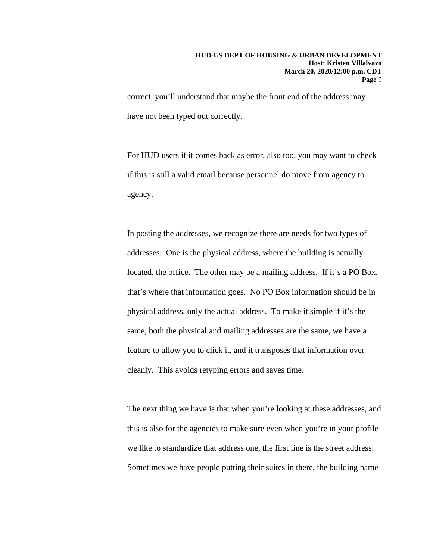correct, you'll understand that maybe the front end of the address may have not been typed out correctly.

For HUD users if it comes back as error, also too, you may want to check if this is still a valid email because personnel do move from agency to agency.

In posting the addresses, we recognize there are needs for two types of addresses. One is the physical address, where the building is actually located, the office. The other may be a mailing address. If it's a PO Box, that's where that information goes. No PO Box information should be in physical address, only the actual address. To make it simple if it's the same, both the physical and mailing addresses are the same, we have a feature to allow you to click it, and it transposes that information over cleanly. This avoids retyping errors and saves time.

The next thing we have is that when you're looking at these addresses, and this is also for the agencies to make sure even when you're in your profile we like to standardize that address one, the first line is the street address. Sometimes we have people putting their suites in there, the building name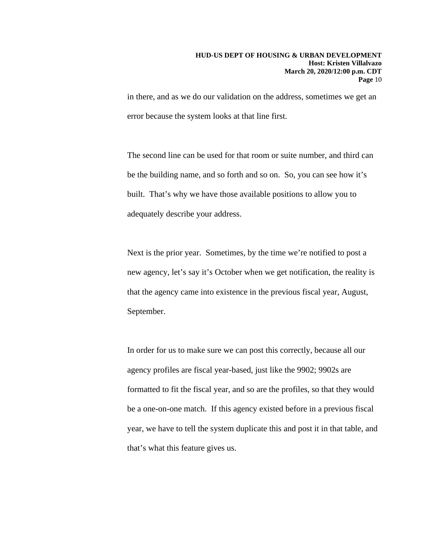in there, and as we do our validation on the address, sometimes we get an error because the system looks at that line first.

The second line can be used for that room or suite number, and third can be the building name, and so forth and so on. So, you can see how it's built. That's why we have those available positions to allow you to adequately describe your address.

Next is the prior year. Sometimes, by the time we're notified to post a new agency, let's say it's October when we get notification, the reality is that the agency came into existence in the previous fiscal year, August, September.

In order for us to make sure we can post this correctly, because all our agency profiles are fiscal year-based, just like the 9902; 9902s are formatted to fit the fiscal year, and so are the profiles, so that they would be a one-on-one match. If this agency existed before in a previous fiscal year, we have to tell the system duplicate this and post it in that table, and that's what this feature gives us.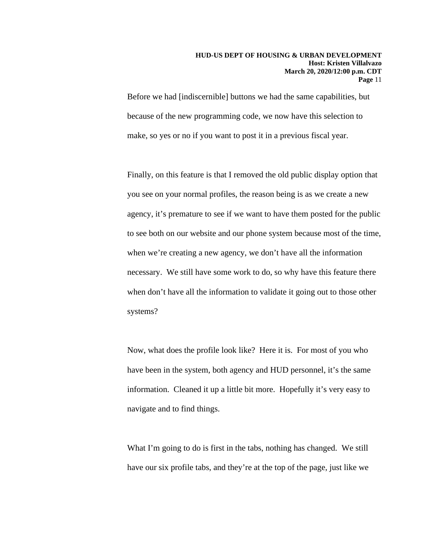#### **HUD-US DEPT OF HOUSING & URBAN DEVELOPMENT Host: Kristen Villalvazo March 20, 2020/12:00 p.m. CDT Page** 11

Before we had [indiscernible] buttons we had the same capabilities, but because of the new programming code, we now have this selection to make, so yes or no if you want to post it in a previous fiscal year.

Finally, on this feature is that I removed the old public display option that you see on your normal profiles, the reason being is as we create a new agency, it's premature to see if we want to have them posted for the public to see both on our website and our phone system because most of the time, when we're creating a new agency, we don't have all the information necessary. We still have some work to do, so why have this feature there when don't have all the information to validate it going out to those other systems?

Now, what does the profile look like? Here it is. For most of you who have been in the system, both agency and HUD personnel, it's the same information. Cleaned it up a little bit more. Hopefully it's very easy to navigate and to find things.

What I'm going to do is first in the tabs, nothing has changed. We still have our six profile tabs, and they're at the top of the page, just like we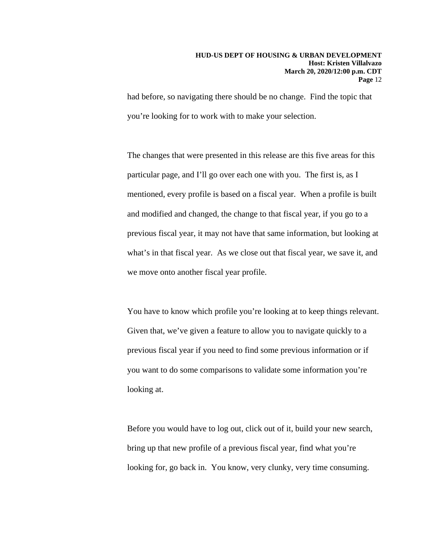had before, so navigating there should be no change. Find the topic that you're looking for to work with to make your selection.

The changes that were presented in this release are this five areas for this particular page, and I'll go over each one with you. The first is, as I mentioned, every profile is based on a fiscal year. When a profile is built and modified and changed, the change to that fiscal year, if you go to a previous fiscal year, it may not have that same information, but looking at what's in that fiscal year. As we close out that fiscal year, we save it, and we move onto another fiscal year profile.

You have to know which profile you're looking at to keep things relevant. Given that, we've given a feature to allow you to navigate quickly to a previous fiscal year if you need to find some previous information or if you want to do some comparisons to validate some information you're looking at.

Before you would have to log out, click out of it, build your new search, bring up that new profile of a previous fiscal year, find what you're looking for, go back in. You know, very clunky, very time consuming.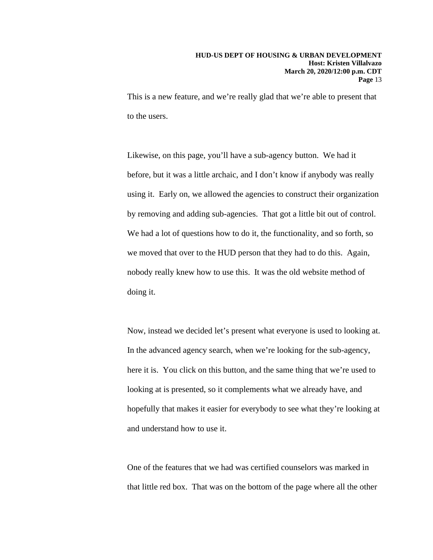This is a new feature, and we're really glad that we're able to present that to the users.

Likewise, on this page, you'll have a sub-agency button. We had it before, but it was a little archaic, and I don't know if anybody was really using it. Early on, we allowed the agencies to construct their organization by removing and adding sub-agencies. That got a little bit out of control. We had a lot of questions how to do it, the functionality, and so forth, so we moved that over to the HUD person that they had to do this. Again, nobody really knew how to use this. It was the old website method of doing it.

Now, instead we decided let's present what everyone is used to looking at. In the advanced agency search, when we're looking for the sub-agency, here it is. You click on this button, and the same thing that we're used to looking at is presented, so it complements what we already have, and hopefully that makes it easier for everybody to see what they're looking at and understand how to use it.

One of the features that we had was certified counselors was marked in that little red box. That was on the bottom of the page where all the other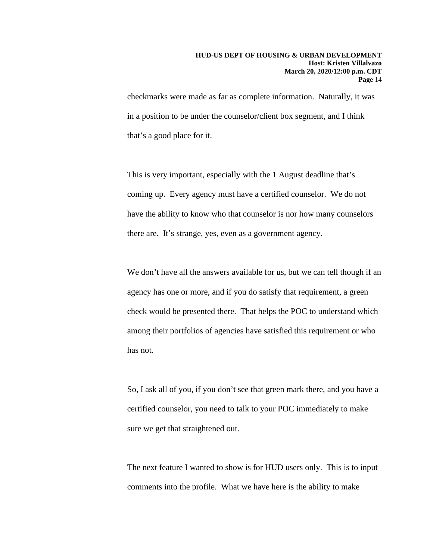checkmarks were made as far as complete information. Naturally, it was in a position to be under the counselor/client box segment, and I think that's a good place for it.

This is very important, especially with the 1 August deadline that's coming up. Every agency must have a certified counselor. We do not have the ability to know who that counselor is nor how many counselors there are. It's strange, yes, even as a government agency.

We don't have all the answers available for us, but we can tell though if an agency has one or more, and if you do satisfy that requirement, a green check would be presented there. That helps the POC to understand which among their portfolios of agencies have satisfied this requirement or who has not.

So, I ask all of you, if you don't see that green mark there, and you have a certified counselor, you need to talk to your POC immediately to make sure we get that straightened out.

The next feature I wanted to show is for HUD users only. This is to input comments into the profile. What we have here is the ability to make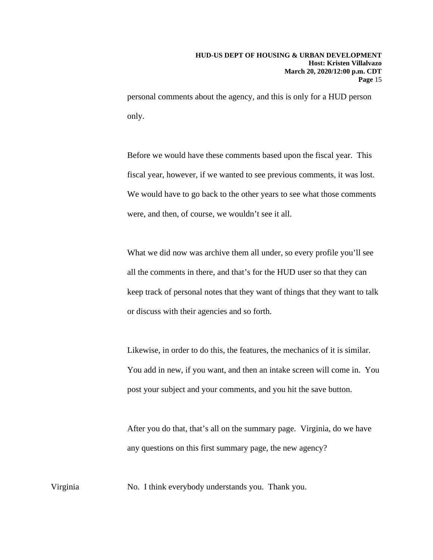personal comments about the agency, and this is only for a HUD person only.

Before we would have these comments based upon the fiscal year. This fiscal year, however, if we wanted to see previous comments, it was lost. We would have to go back to the other years to see what those comments were, and then, of course, we wouldn't see it all.

What we did now was archive them all under, so every profile you'll see all the comments in there, and that's for the HUD user so that they can keep track of personal notes that they want of things that they want to talk or discuss with their agencies and so forth.

Likewise, in order to do this, the features, the mechanics of it is similar. You add in new, if you want, and then an intake screen will come in. You post your subject and your comments, and you hit the save button.

After you do that, that's all on the summary page. Virginia, do we have any questions on this first summary page, the new agency?

Virginia No. I think everybody understands you. Thank you.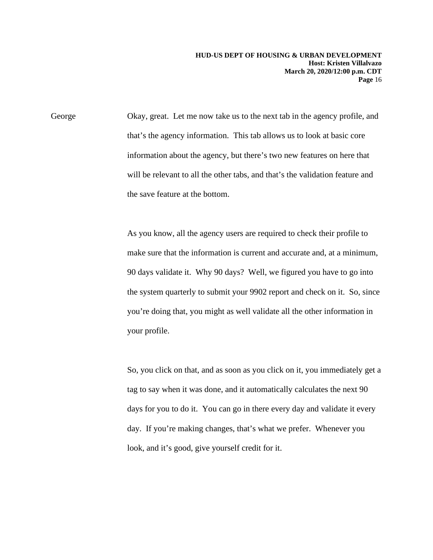George Okay, great. Let me now take us to the next tab in the agency profile, and that's the agency information. This tab allows us to look at basic core information about the agency, but there's two new features on here that will be relevant to all the other tabs, and that's the validation feature and the save feature at the bottom.

> As you know, all the agency users are required to check their profile to make sure that the information is current and accurate and, at a minimum, 90 days validate it. Why 90 days? Well, we figured you have to go into the system quarterly to submit your 9902 report and check on it. So, since you're doing that, you might as well validate all the other information in your profile.

> So, you click on that, and as soon as you click on it, you immediately get a tag to say when it was done, and it automatically calculates the next 90 days for you to do it. You can go in there every day and validate it every day. If you're making changes, that's what we prefer. Whenever you look, and it's good, give yourself credit for it.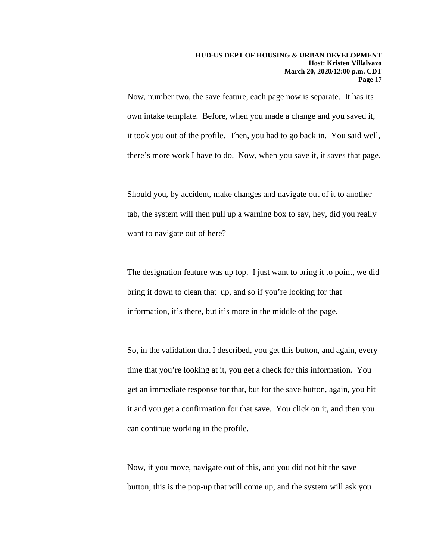Now, number two, the save feature, each page now is separate. It has its own intake template. Before, when you made a change and you saved it, it took you out of the profile. Then, you had to go back in. You said well, there's more work I have to do. Now, when you save it, it saves that page.

Should you, by accident, make changes and navigate out of it to another tab, the system will then pull up a warning box to say, hey, did you really want to navigate out of here?

The designation feature was up top. I just want to bring it to point, we did bring it down to clean that up, and so if you're looking for that information, it's there, but it's more in the middle of the page.

So, in the validation that I described, you get this button, and again, every time that you're looking at it, you get a check for this information. You get an immediate response for that, but for the save button, again, you hit it and you get a confirmation for that save. You click on it, and then you can continue working in the profile.

Now, if you move, navigate out of this, and you did not hit the save button, this is the pop-up that will come up, and the system will ask you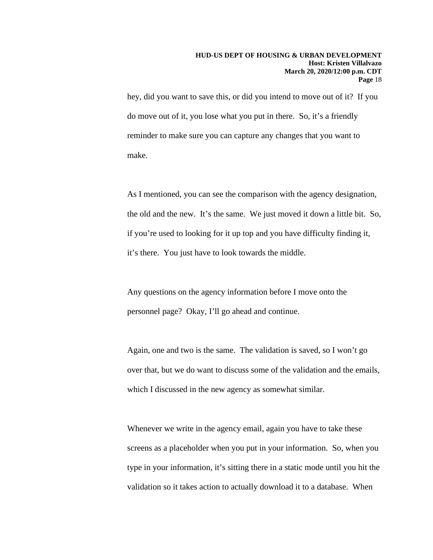hey, did you want to save this, or did you intend to move out of it? If you do move out of it, you lose what you put in there. So, it's a friendly reminder to make sure you can capture any changes that you want to make.

As I mentioned, you can see the comparison with the agency designation, the old and the new. It's the same. We just moved it down a little bit. So, if you're used to looking for it up top and you have difficulty finding it, it's there. You just have to look towards the middle.

Any questions on the agency information before I move onto the personnel page? Okay, I'll go ahead and continue.

Again, one and two is the same. The validation is saved, so I won't go over that, but we do want to discuss some of the validation and the emails, which I discussed in the new agency as somewhat similar.

Whenever we write in the agency email, again you have to take these screens as a placeholder when you put in your information. So, when you type in your information, it's sitting there in a static mode until you hit the validation so it takes action to actually download it to a database. When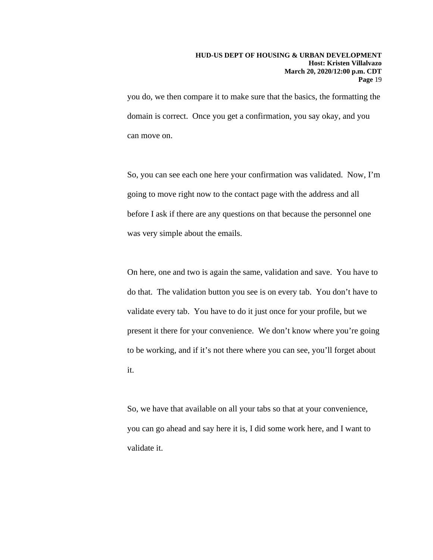you do, we then compare it to make sure that the basics, the formatting the domain is correct. Once you get a confirmation, you say okay, and you can move on.

So, you can see each one here your confirmation was validated. Now, I'm going to move right now to the contact page with the address and all before I ask if there are any questions on that because the personnel one was very simple about the emails.

On here, one and two is again the same, validation and save. You have to do that. The validation button you see is on every tab. You don't have to validate every tab. You have to do it just once for your profile, but we present it there for your convenience. We don't know where you're going to be working, and if it's not there where you can see, you'll forget about it.

So, we have that available on all your tabs so that at your convenience, you can go ahead and say here it is, I did some work here, and I want to validate it.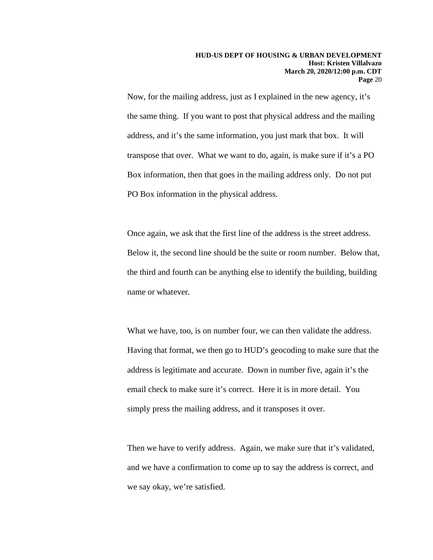Now, for the mailing address, just as I explained in the new agency, it's the same thing. If you want to post that physical address and the mailing address, and it's the same information, you just mark that box. It will transpose that over. What we want to do, again, is make sure if it's a PO Box information, then that goes in the mailing address only. Do not put PO Box information in the physical address.

Once again, we ask that the first line of the address is the street address. Below it, the second line should be the suite or room number. Below that, the third and fourth can be anything else to identify the building, building name or whatever.

What we have, too, is on number four, we can then validate the address. Having that format, we then go to HUD's geocoding to make sure that the address is legitimate and accurate. Down in number five, again it's the email check to make sure it's correct. Here it is in more detail. You simply press the mailing address, and it transposes it over.

Then we have to verify address. Again, we make sure that it's validated, and we have a confirmation to come up to say the address is correct, and we say okay, we're satisfied.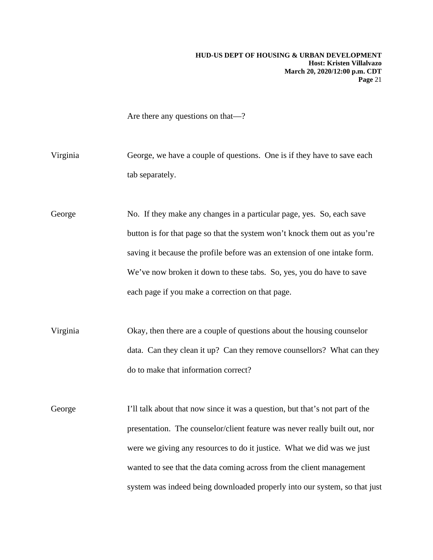Are there any questions on that—?

Virginia George, we have a couple of questions. One is if they have to save each tab separately.

George No. If they make any changes in a particular page, yes. So, each save button is for that page so that the system won't knock them out as you're saving it because the profile before was an extension of one intake form. We've now broken it down to these tabs. So, yes, you do have to save each page if you make a correction on that page.

Virginia Okay, then there are a couple of questions about the housing counselor data. Can they clean it up? Can they remove counsellors? What can they do to make that information correct?

George I'll talk about that now since it was a question, but that's not part of the presentation. The counselor/client feature was never really built out, nor were we giving any resources to do it justice. What we did was we just wanted to see that the data coming across from the client management system was indeed being downloaded properly into our system, so that just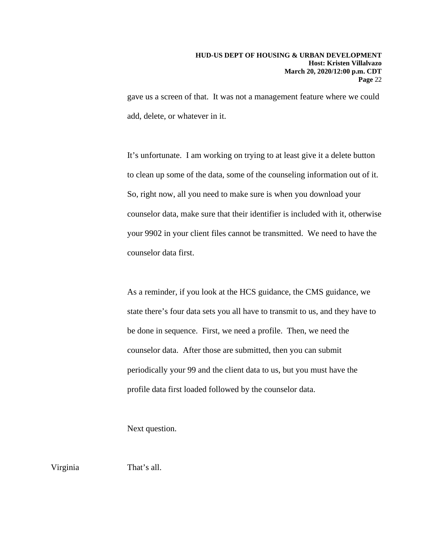gave us a screen of that. It was not a management feature where we could add, delete, or whatever in it.

It's unfortunate. I am working on trying to at least give it a delete button to clean up some of the data, some of the counseling information out of it. So, right now, all you need to make sure is when you download your counselor data, make sure that their identifier is included with it, otherwise your 9902 in your client files cannot be transmitted. We need to have the counselor data first.

As a reminder, if you look at the HCS guidance, the CMS guidance, we state there's four data sets you all have to transmit to us, and they have to be done in sequence. First, we need a profile. Then, we need the counselor data. After those are submitted, then you can submit periodically your 99 and the client data to us, but you must have the profile data first loaded followed by the counselor data.

Next question.

Virginia That's all.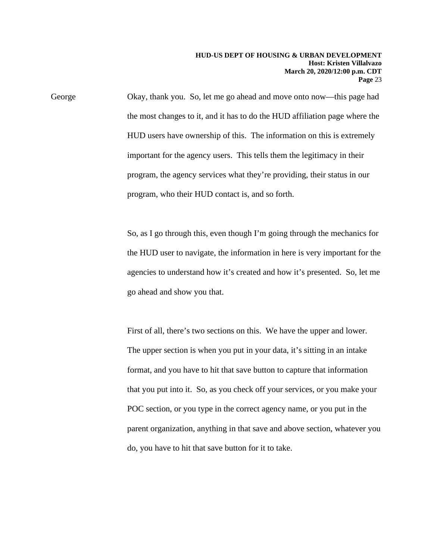George Okay, thank you. So, let me go ahead and move onto now—this page had the most changes to it, and it has to do the HUD affiliation page where the HUD users have ownership of this. The information on this is extremely important for the agency users. This tells them the legitimacy in their program, the agency services what they're providing, their status in our program, who their HUD contact is, and so forth.

> So, as I go through this, even though I'm going through the mechanics for the HUD user to navigate, the information in here is very important for the agencies to understand how it's created and how it's presented. So, let me go ahead and show you that.

> First of all, there's two sections on this. We have the upper and lower. The upper section is when you put in your data, it's sitting in an intake format, and you have to hit that save button to capture that information that you put into it. So, as you check off your services, or you make your POC section, or you type in the correct agency name, or you put in the parent organization, anything in that save and above section, whatever you do, you have to hit that save button for it to take.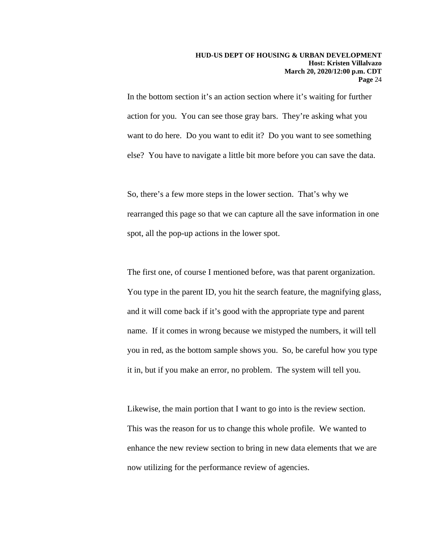In the bottom section it's an action section where it's waiting for further action for you. You can see those gray bars. They're asking what you want to do here. Do you want to edit it? Do you want to see something else? You have to navigate a little bit more before you can save the data.

So, there's a few more steps in the lower section. That's why we rearranged this page so that we can capture all the save information in one spot, all the pop-up actions in the lower spot.

The first one, of course I mentioned before, was that parent organization. You type in the parent ID, you hit the search feature, the magnifying glass, and it will come back if it's good with the appropriate type and parent name. If it comes in wrong because we mistyped the numbers, it will tell you in red, as the bottom sample shows you. So, be careful how you type it in, but if you make an error, no problem. The system will tell you.

Likewise, the main portion that I want to go into is the review section. This was the reason for us to change this whole profile. We wanted to enhance the new review section to bring in new data elements that we are now utilizing for the performance review of agencies.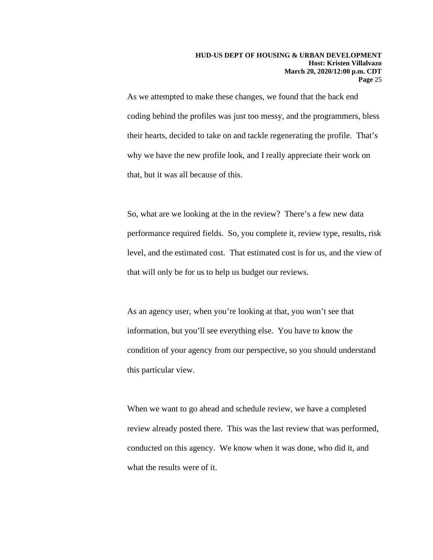As we attempted to make these changes, we found that the back end coding behind the profiles was just too messy, and the programmers, bless their hearts, decided to take on and tackle regenerating the profile. That's why we have the new profile look, and I really appreciate their work on that, but it was all because of this.

So, what are we looking at the in the review? There's a few new data performance required fields. So, you complete it, review type, results, risk level, and the estimated cost. That estimated cost is for us, and the view of that will only be for us to help us budget our reviews.

As an agency user, when you're looking at that, you won't see that information, but you'll see everything else. You have to know the condition of your agency from our perspective, so you should understand this particular view.

When we want to go ahead and schedule review, we have a completed review already posted there. This was the last review that was performed, conducted on this agency. We know when it was done, who did it, and what the results were of it.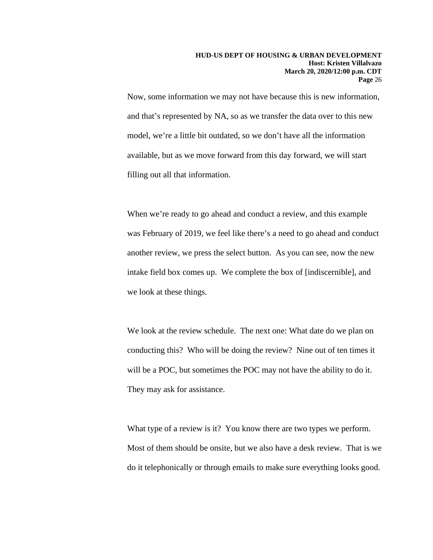Now, some information we may not have because this is new information, and that's represented by NA, so as we transfer the data over to this new model, we're a little bit outdated, so we don't have all the information available, but as we move forward from this day forward, we will start filling out all that information.

When we're ready to go ahead and conduct a review, and this example was February of 2019, we feel like there's a need to go ahead and conduct another review, we press the select button. As you can see, now the new intake field box comes up. We complete the box of [indiscernible], and we look at these things.

We look at the review schedule. The next one: What date do we plan on conducting this? Who will be doing the review? Nine out of ten times it will be a POC, but sometimes the POC may not have the ability to do it. They may ask for assistance.

What type of a review is it? You know there are two types we perform. Most of them should be onsite, but we also have a desk review. That is we do it telephonically or through emails to make sure everything looks good.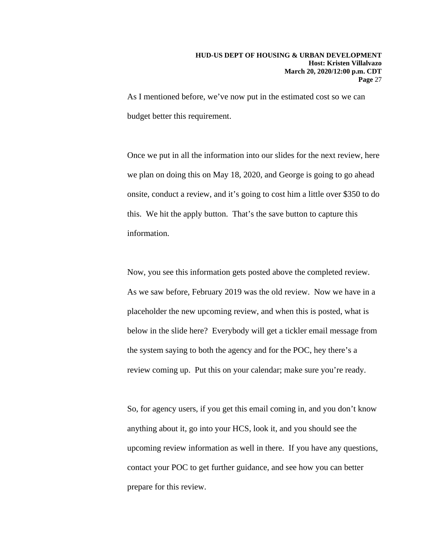As I mentioned before, we've now put in the estimated cost so we can budget better this requirement.

Once we put in all the information into our slides for the next review, here we plan on doing this on May 18, 2020, and George is going to go ahead onsite, conduct a review, and it's going to cost him a little over \$350 to do this. We hit the apply button. That's the save button to capture this information.

Now, you see this information gets posted above the completed review. As we saw before, February 2019 was the old review. Now we have in a placeholder the new upcoming review, and when this is posted, what is below in the slide here? Everybody will get a tickler email message from the system saying to both the agency and for the POC, hey there's a review coming up. Put this on your calendar; make sure you're ready.

So, for agency users, if you get this email coming in, and you don't know anything about it, go into your HCS, look it, and you should see the upcoming review information as well in there. If you have any questions, contact your POC to get further guidance, and see how you can better prepare for this review.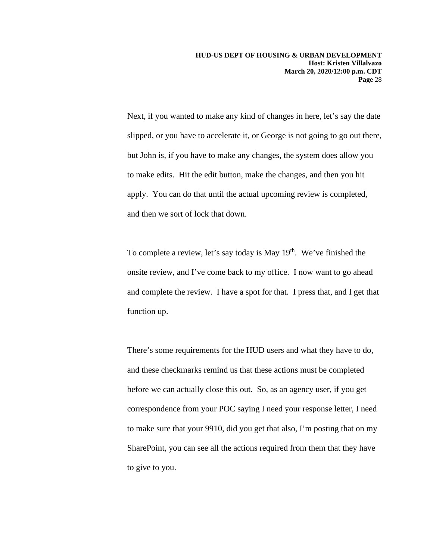Next, if you wanted to make any kind of changes in here, let's say the date slipped, or you have to accelerate it, or George is not going to go out there, but John is, if you have to make any changes, the system does allow you to make edits. Hit the edit button, make the changes, and then you hit apply. You can do that until the actual upcoming review is completed, and then we sort of lock that down.

To complete a review, let's say today is May 19<sup>th</sup>. We've finished the onsite review, and I've come back to my office. I now want to go ahead and complete the review. I have a spot for that. I press that, and I get that function up.

There's some requirements for the HUD users and what they have to do, and these checkmarks remind us that these actions must be completed before we can actually close this out. So, as an agency user, if you get correspondence from your POC saying I need your response letter, I need to make sure that your 9910, did you get that also, I'm posting that on my SharePoint, you can see all the actions required from them that they have to give to you.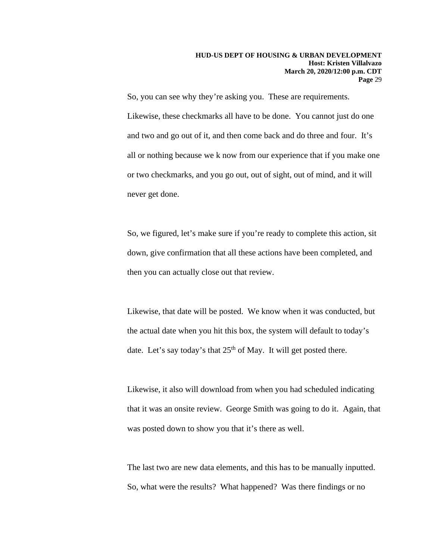So, you can see why they're asking you. These are requirements. Likewise, these checkmarks all have to be done. You cannot just do one and two and go out of it, and then come back and do three and four. It's all or nothing because we k now from our experience that if you make one or two checkmarks, and you go out, out of sight, out of mind, and it will never get done.

So, we figured, let's make sure if you're ready to complete this action, sit down, give confirmation that all these actions have been completed, and then you can actually close out that review.

Likewise, that date will be posted. We know when it was conducted, but the actual date when you hit this box, the system will default to today's date. Let's say today's that  $25<sup>th</sup>$  of May. It will get posted there.

Likewise, it also will download from when you had scheduled indicating that it was an onsite review. George Smith was going to do it. Again, that was posted down to show you that it's there as well.

The last two are new data elements, and this has to be manually inputted. So, what were the results? What happened? Was there findings or no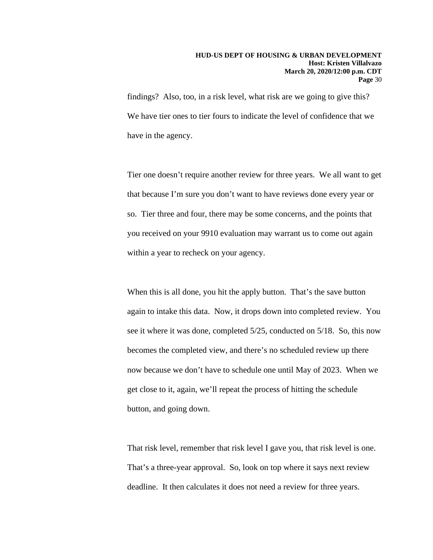#### **HUD-US DEPT OF HOUSING & URBAN DEVELOPMENT Host: Kristen Villalvazo March 20, 2020/12:00 p.m. CDT Page** 30

findings? Also, too, in a risk level, what risk are we going to give this? We have tier ones to tier fours to indicate the level of confidence that we have in the agency.

Tier one doesn't require another review for three years. We all want to get that because I'm sure you don't want to have reviews done every year or so. Tier three and four, there may be some concerns, and the points that you received on your 9910 evaluation may warrant us to come out again within a year to recheck on your agency.

When this is all done, you hit the apply button. That's the save button again to intake this data. Now, it drops down into completed review. You see it where it was done, completed 5/25, conducted on 5/18. So, this now becomes the completed view, and there's no scheduled review up there now because we don't have to schedule one until May of 2023. When we get close to it, again, we'll repeat the process of hitting the schedule button, and going down.

That risk level, remember that risk level I gave you, that risk level is one. That's a three-year approval. So, look on top where it says next review deadline. It then calculates it does not need a review for three years.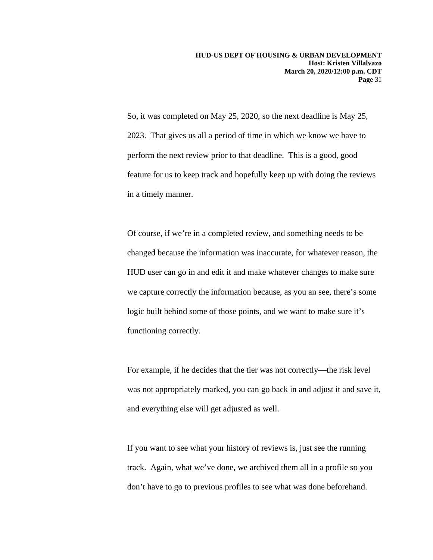So, it was completed on May 25, 2020, so the next deadline is May 25, 2023. That gives us all a period of time in which we know we have to perform the next review prior to that deadline. This is a good, good feature for us to keep track and hopefully keep up with doing the reviews in a timely manner.

Of course, if we're in a completed review, and something needs to be changed because the information was inaccurate, for whatever reason, the HUD user can go in and edit it and make whatever changes to make sure we capture correctly the information because, as you an see, there's some logic built behind some of those points, and we want to make sure it's functioning correctly.

For example, if he decides that the tier was not correctly—the risk level was not appropriately marked, you can go back in and adjust it and save it, and everything else will get adjusted as well.

If you want to see what your history of reviews is, just see the running track. Again, what we've done, we archived them all in a profile so you don't have to go to previous profiles to see what was done beforehand.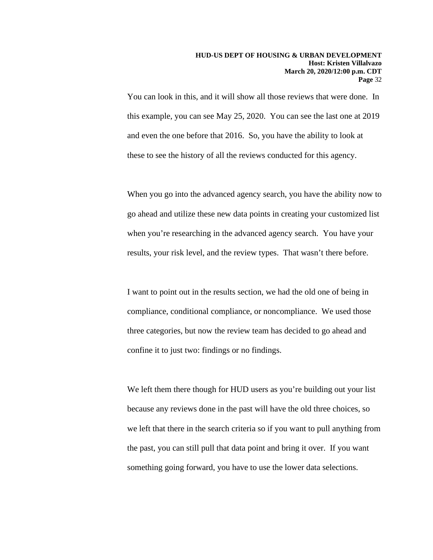You can look in this, and it will show all those reviews that were done. In this example, you can see May 25, 2020. You can see the last one at 2019 and even the one before that 2016. So, you have the ability to look at these to see the history of all the reviews conducted for this agency.

When you go into the advanced agency search, you have the ability now to go ahead and utilize these new data points in creating your customized list when you're researching in the advanced agency search. You have your results, your risk level, and the review types. That wasn't there before.

I want to point out in the results section, we had the old one of being in compliance, conditional compliance, or noncompliance. We used those three categories, but now the review team has decided to go ahead and confine it to just two: findings or no findings.

We left them there though for HUD users as you're building out your list because any reviews done in the past will have the old three choices, so we left that there in the search criteria so if you want to pull anything from the past, you can still pull that data point and bring it over. If you want something going forward, you have to use the lower data selections.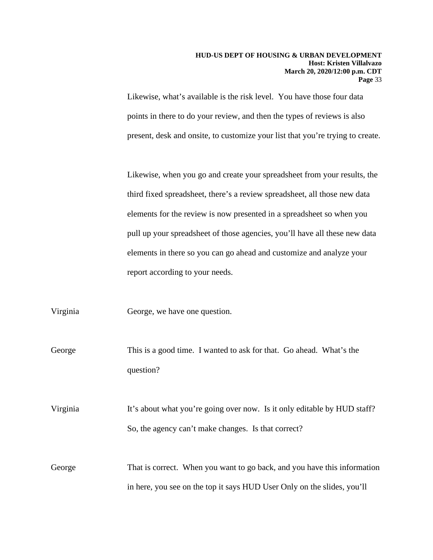#### **HUD-US DEPT OF HOUSING & URBAN DEVELOPMENT Host: Kristen Villalvazo March 20, 2020/12:00 p.m. CDT Page** 33

Likewise, what's available is the risk level. You have those four data points in there to do your review, and then the types of reviews is also present, desk and onsite, to customize your list that you're trying to create.

Likewise, when you go and create your spreadsheet from your results, the third fixed spreadsheet, there's a review spreadsheet, all those new data elements for the review is now presented in a spreadsheet so when you pull up your spreadsheet of those agencies, you'll have all these new data elements in there so you can go ahead and customize and analyze your report according to your needs.

Virginia George, we have one question.

George This is a good time. I wanted to ask for that. Go ahead. What's the question?

Virginia It's about what you're going over now. Is it only editable by HUD staff? So, the agency can't make changes. Is that correct?

George That is correct. When you want to go back, and you have this information in here, you see on the top it says HUD User Only on the slides, you'll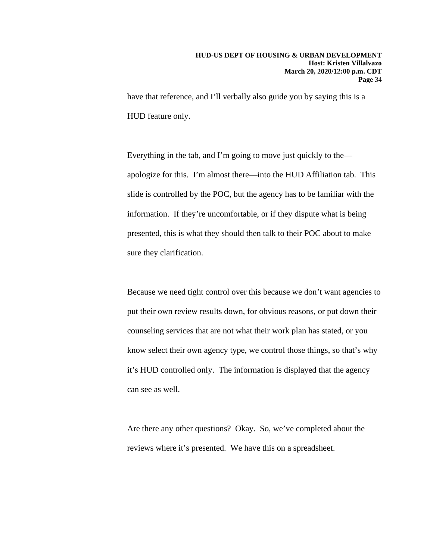have that reference, and I'll verbally also guide you by saying this is a HUD feature only.

Everything in the tab, and I'm going to move just quickly to the apologize for this. I'm almost there—into the HUD Affiliation tab. This slide is controlled by the POC, but the agency has to be familiar with the information. If they're uncomfortable, or if they dispute what is being presented, this is what they should then talk to their POC about to make sure they clarification.

Because we need tight control over this because we don't want agencies to put their own review results down, for obvious reasons, or put down their counseling services that are not what their work plan has stated, or you know select their own agency type, we control those things, so that's why it's HUD controlled only. The information is displayed that the agency can see as well.

Are there any other questions? Okay. So, we've completed about the reviews where it's presented. We have this on a spreadsheet.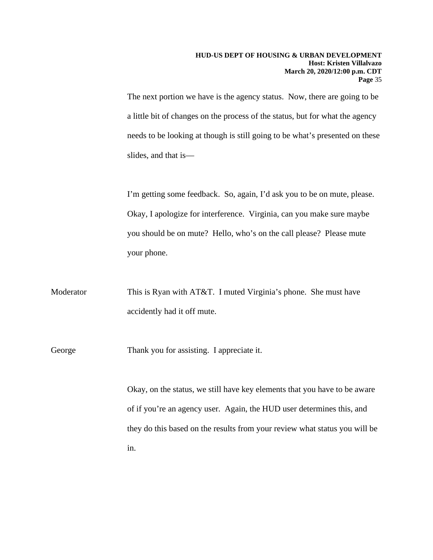The next portion we have is the agency status. Now, there are going to be a little bit of changes on the process of the status, but for what the agency needs to be looking at though is still going to be what's presented on these slides, and that is—

I'm getting some feedback. So, again, I'd ask you to be on mute, please. Okay, I apologize for interference. Virginia, can you make sure maybe you should be on mute? Hello, who's on the call please? Please mute your phone.

Moderator This is Ryan with AT&T. I muted Virginia's phone. She must have accidently had it off mute.

George Thank you for assisting. I appreciate it.

Okay, on the status, we still have key elements that you have to be aware of if you're an agency user. Again, the HUD user determines this, and they do this based on the results from your review what status you will be in.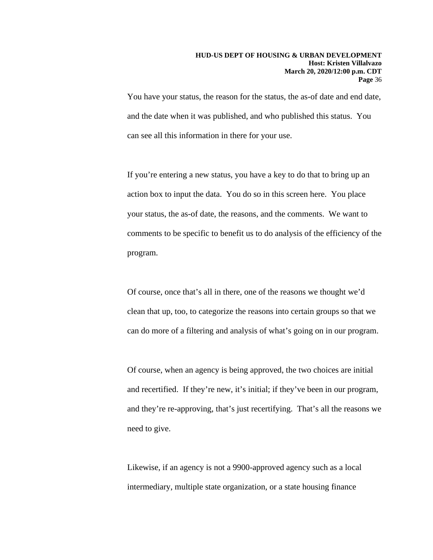You have your status, the reason for the status, the as-of date and end date, and the date when it was published, and who published this status. You can see all this information in there for your use.

If you're entering a new status, you have a key to do that to bring up an action box to input the data. You do so in this screen here. You place your status, the as-of date, the reasons, and the comments. We want to comments to be specific to benefit us to do analysis of the efficiency of the program.

Of course, once that's all in there, one of the reasons we thought we'd clean that up, too, to categorize the reasons into certain groups so that we can do more of a filtering and analysis of what's going on in our program.

Of course, when an agency is being approved, the two choices are initial and recertified. If they're new, it's initial; if they've been in our program, and they're re-approving, that's just recertifying. That's all the reasons we need to give.

Likewise, if an agency is not a 9900-approved agency such as a local intermediary, multiple state organization, or a state housing finance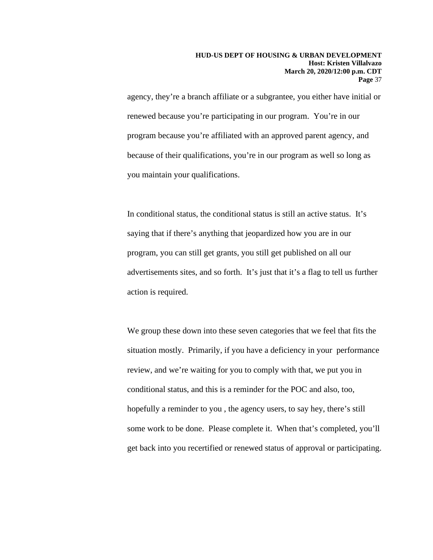agency, they're a branch affiliate or a subgrantee, you either have initial or renewed because you're participating in our program. You're in our program because you're affiliated with an approved parent agency, and because of their qualifications, you're in our program as well so long as you maintain your qualifications.

In conditional status, the conditional status is still an active status. It's saying that if there's anything that jeopardized how you are in our program, you can still get grants, you still get published on all our advertisements sites, and so forth. It's just that it's a flag to tell us further action is required.

We group these down into these seven categories that we feel that fits the situation mostly. Primarily, if you have a deficiency in your performance review, and we're waiting for you to comply with that, we put you in conditional status, and this is a reminder for the POC and also, too, hopefully a reminder to you , the agency users, to say hey, there's still some work to be done. Please complete it. When that's completed, you'll get back into you recertified or renewed status of approval or participating.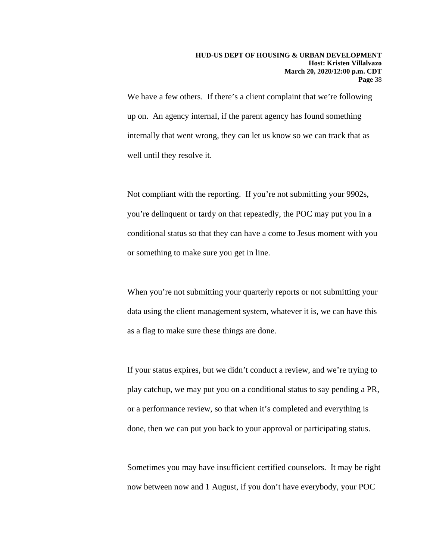We have a few others. If there's a client complaint that we're following up on. An agency internal, if the parent agency has found something internally that went wrong, they can let us know so we can track that as well until they resolve it.

Not compliant with the reporting. If you're not submitting your 9902s, you're delinquent or tardy on that repeatedly, the POC may put you in a conditional status so that they can have a come to Jesus moment with you or something to make sure you get in line.

When you're not submitting your quarterly reports or not submitting your data using the client management system, whatever it is, we can have this as a flag to make sure these things are done.

If your status expires, but we didn't conduct a review, and we're trying to play catchup, we may put you on a conditional status to say pending a PR, or a performance review, so that when it's completed and everything is done, then we can put you back to your approval or participating status.

Sometimes you may have insufficient certified counselors. It may be right now between now and 1 August, if you don't have everybody, your POC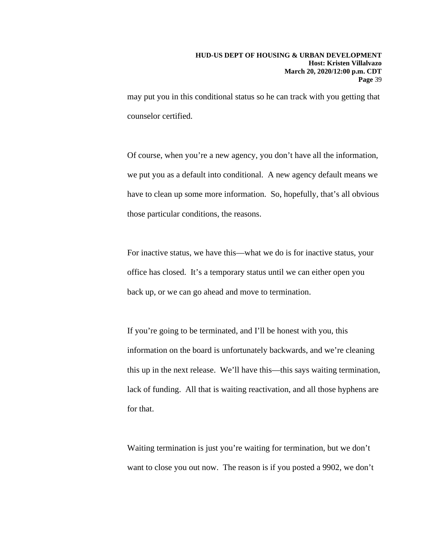may put you in this conditional status so he can track with you getting that counselor certified.

Of course, when you're a new agency, you don't have all the information, we put you as a default into conditional. A new agency default means we have to clean up some more information. So, hopefully, that's all obvious those particular conditions, the reasons.

For inactive status, we have this—what we do is for inactive status, your office has closed. It's a temporary status until we can either open you back up, or we can go ahead and move to termination.

If you're going to be terminated, and I'll be honest with you, this information on the board is unfortunately backwards, and we're cleaning this up in the next release. We'll have this—this says waiting termination, lack of funding. All that is waiting reactivation, and all those hyphens are for that.

Waiting termination is just you're waiting for termination, but we don't want to close you out now. The reason is if you posted a 9902, we don't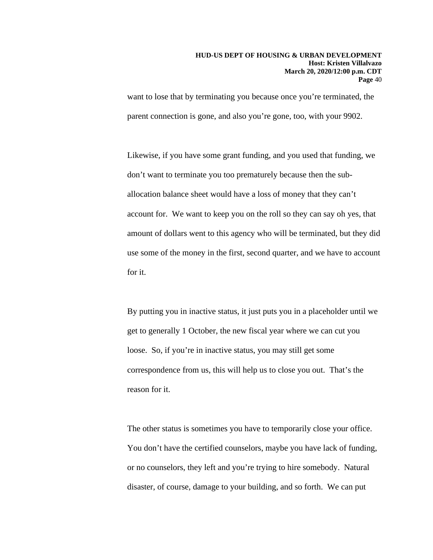want to lose that by terminating you because once you're terminated, the parent connection is gone, and also you're gone, too, with your 9902.

Likewise, if you have some grant funding, and you used that funding, we don't want to terminate you too prematurely because then the suballocation balance sheet would have a loss of money that they can't account for. We want to keep you on the roll so they can say oh yes, that amount of dollars went to this agency who will be terminated, but they did use some of the money in the first, second quarter, and we have to account for it.

By putting you in inactive status, it just puts you in a placeholder until we get to generally 1 October, the new fiscal year where we can cut you loose. So, if you're in inactive status, you may still get some correspondence from us, this will help us to close you out. That's the reason for it.

The other status is sometimes you have to temporarily close your office. You don't have the certified counselors, maybe you have lack of funding, or no counselors, they left and you're trying to hire somebody. Natural disaster, of course, damage to your building, and so forth. We can put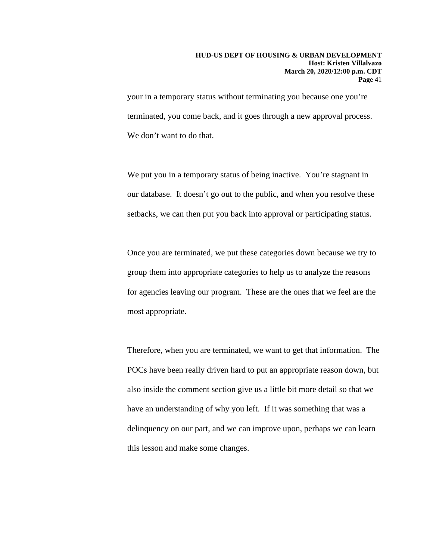#### **HUD-US DEPT OF HOUSING & URBAN DEVELOPMENT Host: Kristen Villalvazo March 20, 2020/12:00 p.m. CDT Page** 41

your in a temporary status without terminating you because one you're terminated, you come back, and it goes through a new approval process. We don't want to do that.

We put you in a temporary status of being inactive. You're stagnant in our database. It doesn't go out to the public, and when you resolve these setbacks, we can then put you back into approval or participating status.

Once you are terminated, we put these categories down because we try to group them into appropriate categories to help us to analyze the reasons for agencies leaving our program. These are the ones that we feel are the most appropriate.

Therefore, when you are terminated, we want to get that information. The POCs have been really driven hard to put an appropriate reason down, but also inside the comment section give us a little bit more detail so that we have an understanding of why you left. If it was something that was a delinquency on our part, and we can improve upon, perhaps we can learn this lesson and make some changes.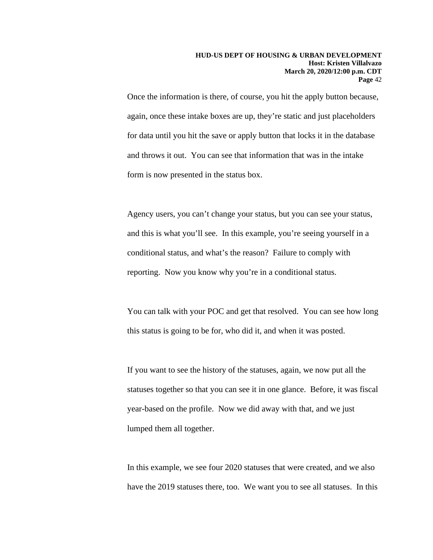#### **HUD-US DEPT OF HOUSING & URBAN DEVELOPMENT Host: Kristen Villalvazo March 20, 2020/12:00 p.m. CDT Page** 42

Once the information is there, of course, you hit the apply button because, again, once these intake boxes are up, they're static and just placeholders for data until you hit the save or apply button that locks it in the database and throws it out. You can see that information that was in the intake form is now presented in the status box.

Agency users, you can't change your status, but you can see your status, and this is what you'll see. In this example, you're seeing yourself in a conditional status, and what's the reason? Failure to comply with reporting. Now you know why you're in a conditional status.

You can talk with your POC and get that resolved. You can see how long this status is going to be for, who did it, and when it was posted.

If you want to see the history of the statuses, again, we now put all the statuses together so that you can see it in one glance. Before, it was fiscal year-based on the profile. Now we did away with that, and we just lumped them all together.

In this example, we see four 2020 statuses that were created, and we also have the 2019 statuses there, too. We want you to see all statuses. In this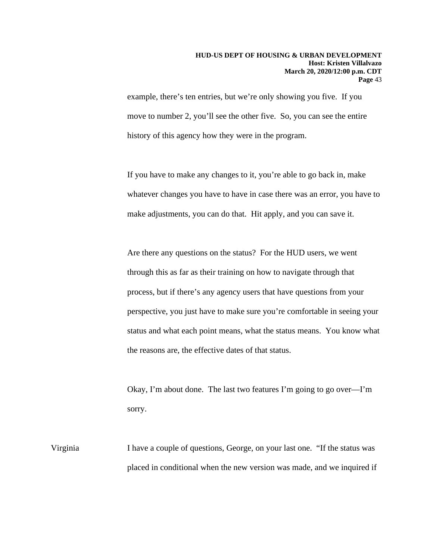example, there's ten entries, but we're only showing you five. If you move to number 2, you'll see the other five. So, you can see the entire history of this agency how they were in the program.

If you have to make any changes to it, you're able to go back in, make whatever changes you have to have in case there was an error, you have to make adjustments, you can do that. Hit apply, and you can save it.

Are there any questions on the status? For the HUD users, we went through this as far as their training on how to navigate through that process, but if there's any agency users that have questions from your perspective, you just have to make sure you're comfortable in seeing your status and what each point means, what the status means. You know what the reasons are, the effective dates of that status.

Okay, I'm about done. The last two features I'm going to go over—I'm sorry.

Virginia I have a couple of questions, George, on your last one. "If the status was placed in conditional when the new version was made, and we inquired if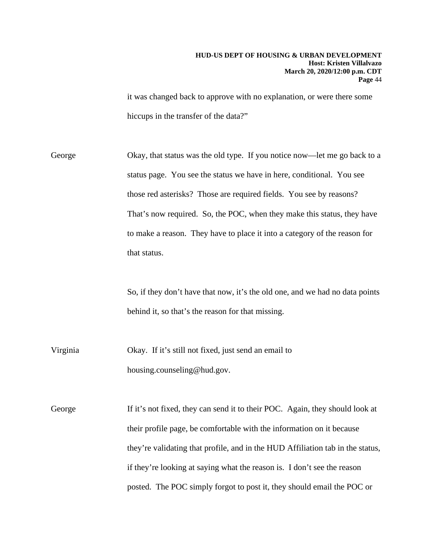it was changed back to approve with no explanation, or were there some hiccups in the transfer of the data?"

George Okay, that status was the old type. If you notice now—let me go back to a status page. You see the status we have in here, conditional. You see those red asterisks? Those are required fields. You see by reasons? That's now required. So, the POC, when they make this status, they have to make a reason. They have to place it into a category of the reason for that status.

> So, if they don't have that now, it's the old one, and we had no data points behind it, so that's the reason for that missing.

Virginia Okay. If it's still not fixed, just send an email to housing.counseling@hud.gov.

George If it's not fixed, they can send it to their POC. Again, they should look at their profile page, be comfortable with the information on it because they're validating that profile, and in the HUD Affiliation tab in the status, if they're looking at saying what the reason is. I don't see the reason posted. The POC simply forgot to post it, they should email the POC or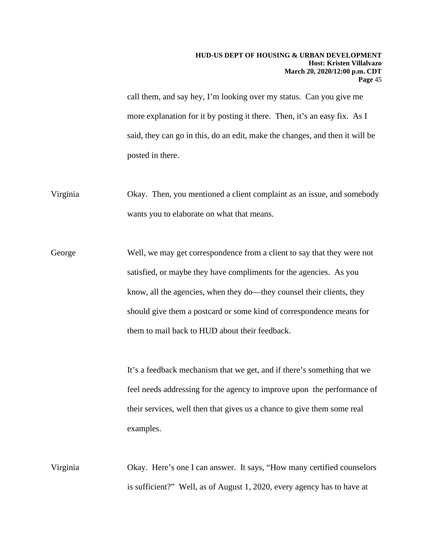call them, and say hey, I'm looking over my status. Can you give me more explanation for it by posting it there. Then, it's an easy fix. As I said, they can go in this, do an edit, make the changes, and then it will be posted in there.

Virginia Okay. Then, you mentioned a client complaint as an issue, and somebody wants you to elaborate on what that means.

George Well, we may get correspondence from a client to say that they were not satisfied, or maybe they have compliments for the agencies. As you know, all the agencies, when they do—they counsel their clients, they should give them a postcard or some kind of correspondence means for them to mail back to HUD about their feedback.

> It's a feedback mechanism that we get, and if there's something that we feel needs addressing for the agency to improve upon the performance of their services, well then that gives us a chance to give them some real examples.

Virginia Okay. Here's one I can answer. It says, "How many certified counselors is sufficient?" Well, as of August 1, 2020, every agency has to have at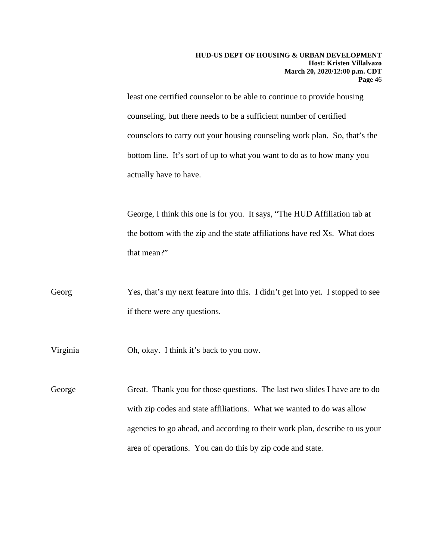least one certified counselor to be able to continue to provide housing counseling, but there needs to be a sufficient number of certified counselors to carry out your housing counseling work plan. So, that's the bottom line. It's sort of up to what you want to do as to how many you actually have to have.

George, I think this one is for you. It says, "The HUD Affiliation tab at the bottom with the zip and the state affiliations have red Xs. What does that mean?"

Georg Yes, that's my next feature into this. I didn't get into yet. I stopped to see if there were any questions.

Virginia Oh, okay. I think it's back to you now.

George Great. Thank you for those questions. The last two slides I have are to do with zip codes and state affiliations. What we wanted to do was allow agencies to go ahead, and according to their work plan, describe to us your area of operations. You can do this by zip code and state.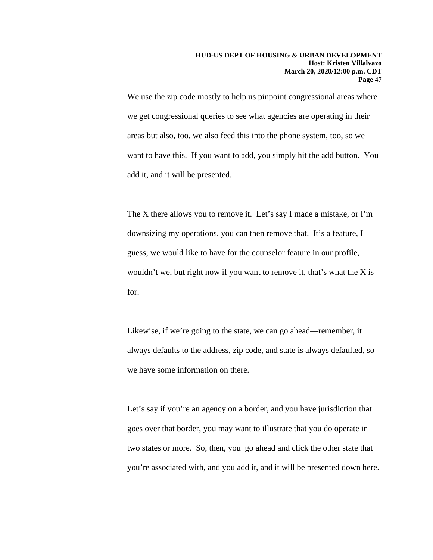We use the zip code mostly to help us pinpoint congressional areas where we get congressional queries to see what agencies are operating in their areas but also, too, we also feed this into the phone system, too, so we want to have this. If you want to add, you simply hit the add button. You add it, and it will be presented.

The X there allows you to remove it. Let's say I made a mistake, or I'm downsizing my operations, you can then remove that. It's a feature, I guess, we would like to have for the counselor feature in our profile, wouldn't we, but right now if you want to remove it, that's what the X is for.

Likewise, if we're going to the state, we can go ahead—remember, it always defaults to the address, zip code, and state is always defaulted, so we have some information on there.

Let's say if you're an agency on a border, and you have jurisdiction that goes over that border, you may want to illustrate that you do operate in two states or more. So, then, you go ahead and click the other state that you're associated with, and you add it, and it will be presented down here.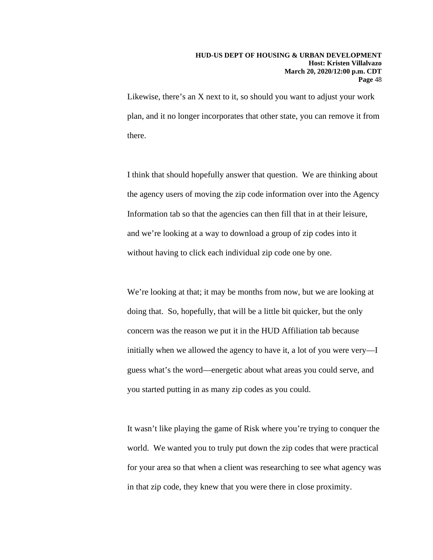#### **HUD-US DEPT OF HOUSING & URBAN DEVELOPMENT Host: Kristen Villalvazo March 20, 2020/12:00 p.m. CDT Page** 48

Likewise, there's an X next to it, so should you want to adjust your work plan, and it no longer incorporates that other state, you can remove it from there.

I think that should hopefully answer that question. We are thinking about the agency users of moving the zip code information over into the Agency Information tab so that the agencies can then fill that in at their leisure, and we're looking at a way to download a group of zip codes into it without having to click each individual zip code one by one.

We're looking at that; it may be months from now, but we are looking at doing that. So, hopefully, that will be a little bit quicker, but the only concern was the reason we put it in the HUD Affiliation tab because initially when we allowed the agency to have it, a lot of you were very—I guess what's the word—energetic about what areas you could serve, and you started putting in as many zip codes as you could.

It wasn't like playing the game of Risk where you're trying to conquer the world. We wanted you to truly put down the zip codes that were practical for your area so that when a client was researching to see what agency was in that zip code, they knew that you were there in close proximity.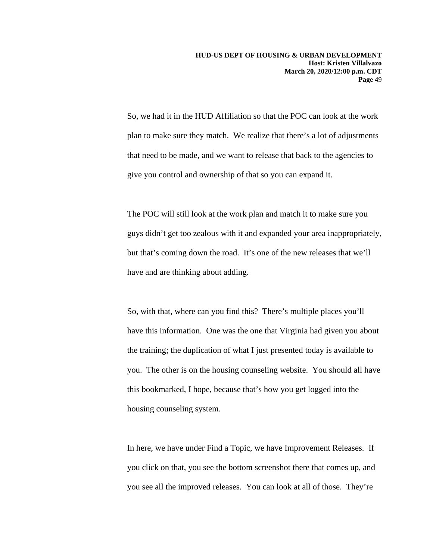So, we had it in the HUD Affiliation so that the POC can look at the work plan to make sure they match. We realize that there's a lot of adjustments that need to be made, and we want to release that back to the agencies to give you control and ownership of that so you can expand it.

The POC will still look at the work plan and match it to make sure you guys didn't get too zealous with it and expanded your area inappropriately, but that's coming down the road. It's one of the new releases that we'll have and are thinking about adding.

So, with that, where can you find this? There's multiple places you'll have this information. One was the one that Virginia had given you about the training; the duplication of what I just presented today is available to you. The other is on the housing counseling website. You should all have this bookmarked, I hope, because that's how you get logged into the housing counseling system.

In here, we have under Find a Topic, we have Improvement Releases. If you click on that, you see the bottom screenshot there that comes up, and you see all the improved releases. You can look at all of those. They're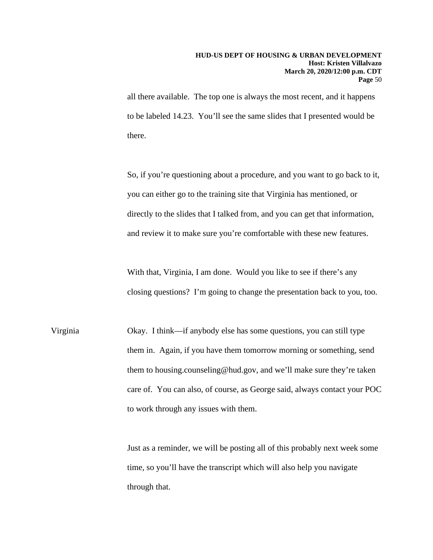all there available. The top one is always the most recent, and it happens to be labeled 14.23. You'll see the same slides that I presented would be there.

So, if you're questioning about a procedure, and you want to go back to it, you can either go to the training site that Virginia has mentioned, or directly to the slides that I talked from, and you can get that information, and review it to make sure you're comfortable with these new features.

With that, Virginia, I am done. Would you like to see if there's any closing questions? I'm going to change the presentation back to you, too.

Virginia Okay. I think—if anybody else has some questions, you can still type them in. Again, if you have them tomorrow morning or something, send them to housing.counseling@hud.gov, and we'll make sure they're taken care of. You can also, of course, as George said, always contact your POC to work through any issues with them.

> Just as a reminder, we will be posting all of this probably next week some time, so you'll have the transcript which will also help you navigate through that.